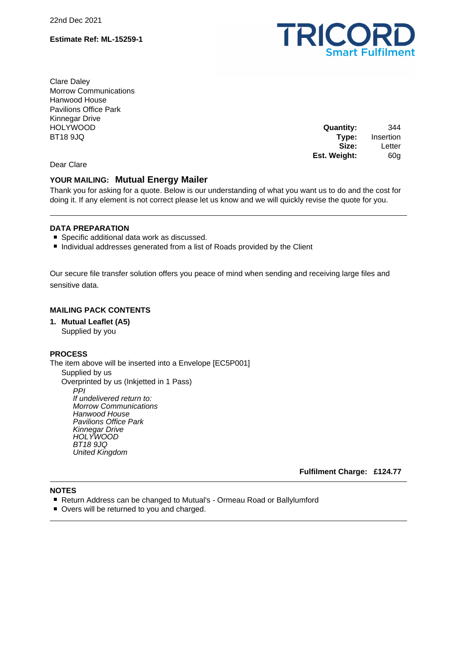22nd Dec 2021

### **Estimate Ref: ML-15259-1**



Clare Daley Morrow Communications Hanwood House Pavilions Office Park Kinnegar Drive HOLYWOOD BT18 9JQ

**Quantity:** 344 **Type:** Insertion **Size:** Letter **Est. Weight:** 60g

Dear Clare

# **YOUR MAILING: Mutual Energy Mailer**

Thank you for asking for a quote. Below is our understanding of what you want us to do and the cost for doing it. If any element is not correct please let us know and we will quickly revise the quote for you.

## **DATA PREPARATION**

- Specific additional data work as discussed.
- Individual addresses generated from a list of Roads provided by the Client

Our secure file transfer solution offers you peace of mind when sending and receiving large files and sensitive data.

### **MAILING PACK CONTENTS**

**1. Mutual Leaflet (A5)** Supplied by you

#### **PROCESS**

The item above will be inserted into a Envelope [EC5P001] Supplied by us Overprinted by us (Inkjetted in 1 Pass) PPI If undelivered return to: Morrow Communications Hanwood House Pavilions Office Park Kinnegar Drive HOLYWOOD BT18 9JQ United Kingdom

**Fulfilment Charge: £124.77**

## **NOTES**

- Return Address can be changed to Mutual's Ormeau Road or Ballylumford
- Overs will be returned to you and charged.